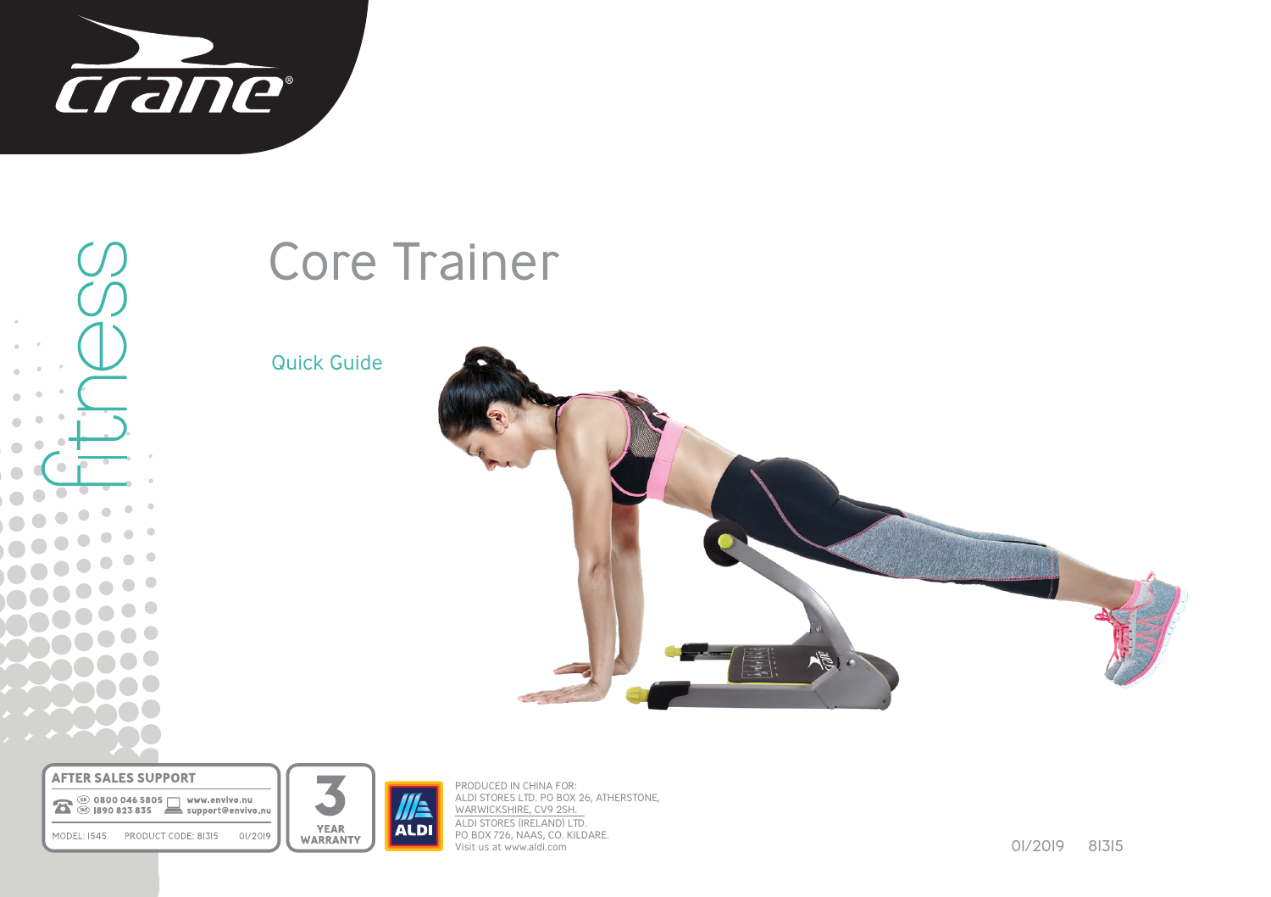

U **. O**  $\bullet$  $\bullet$  $\bullet$ 

# Core Trainer

Quick Guide



**AFTER SALES SUPPORT** 

10 0800 046 5805 WWW.envivo.nu MODEL: 1545 PRODUCT CODE: 81315 01/2019



PRODUCED IN CHINA FOR: ALDI STORES LTD. PO BOX 26, ATHERSTONE, WARWICKSHIRE, CV9 2SH. ALDI STORES (IRELAND) LTD. PO BOX 726, NAAS, CO. KILDARE. Visit us at www.aldi.com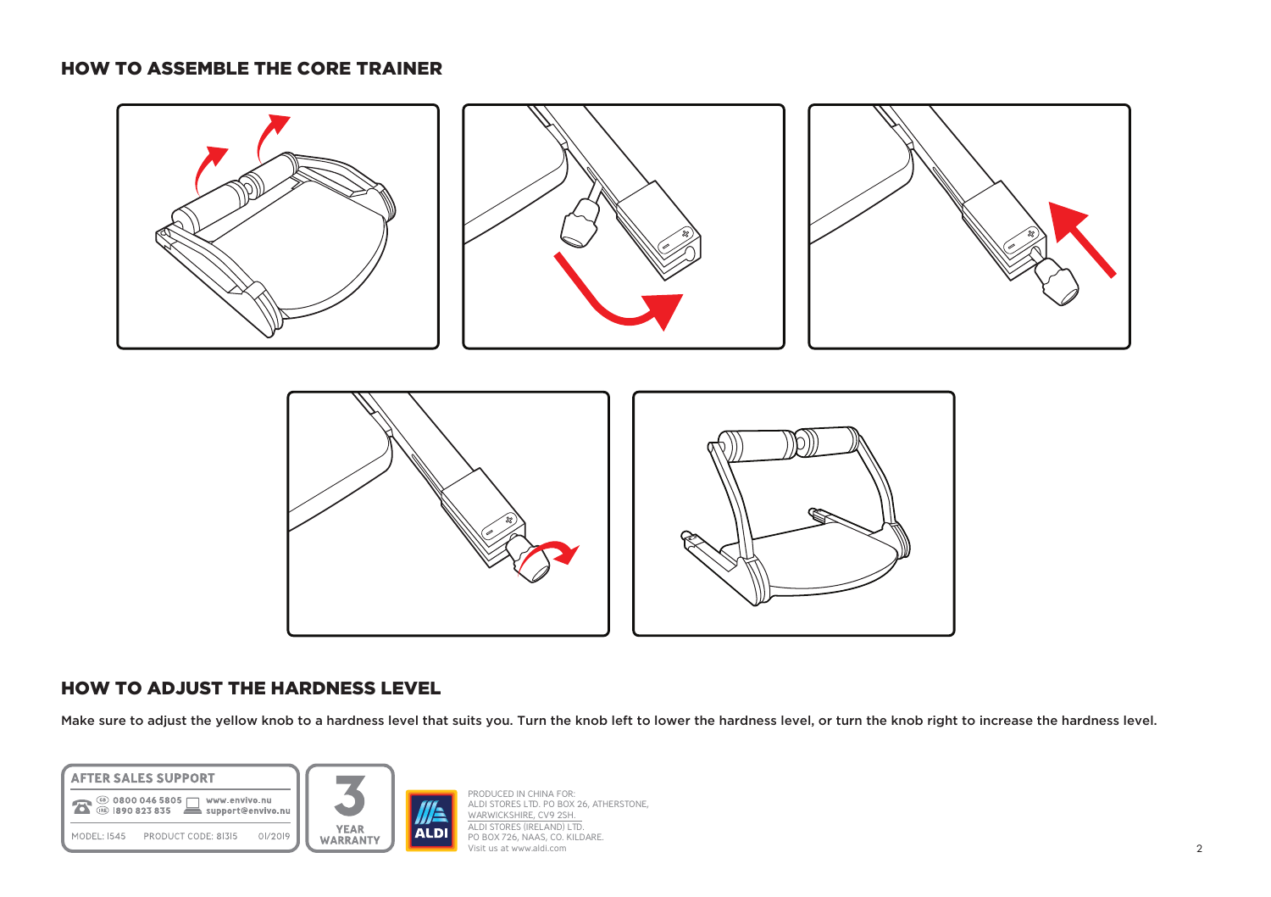### HOW TO ASSEMBLE THE CORE TRAINER



## HOW TO ADJUST THE HARDNESS LEVEL

Make sure to adjust the yellow knob to a hardness level that suits you. Turn the knob left to lower the hardness level, or turn the knob right to increase the hardness level.



PRODUCED IN CHINA FOR: ALDI STORES LTD. PO BOX 26, ATHERSTONE, WARWICKSHIRE, CV9 2SH. ALDI STORES (IRELAND) LTD. PO BOX 726, NAAS, CO. KILDARE. Visit us at www.aldi.com 2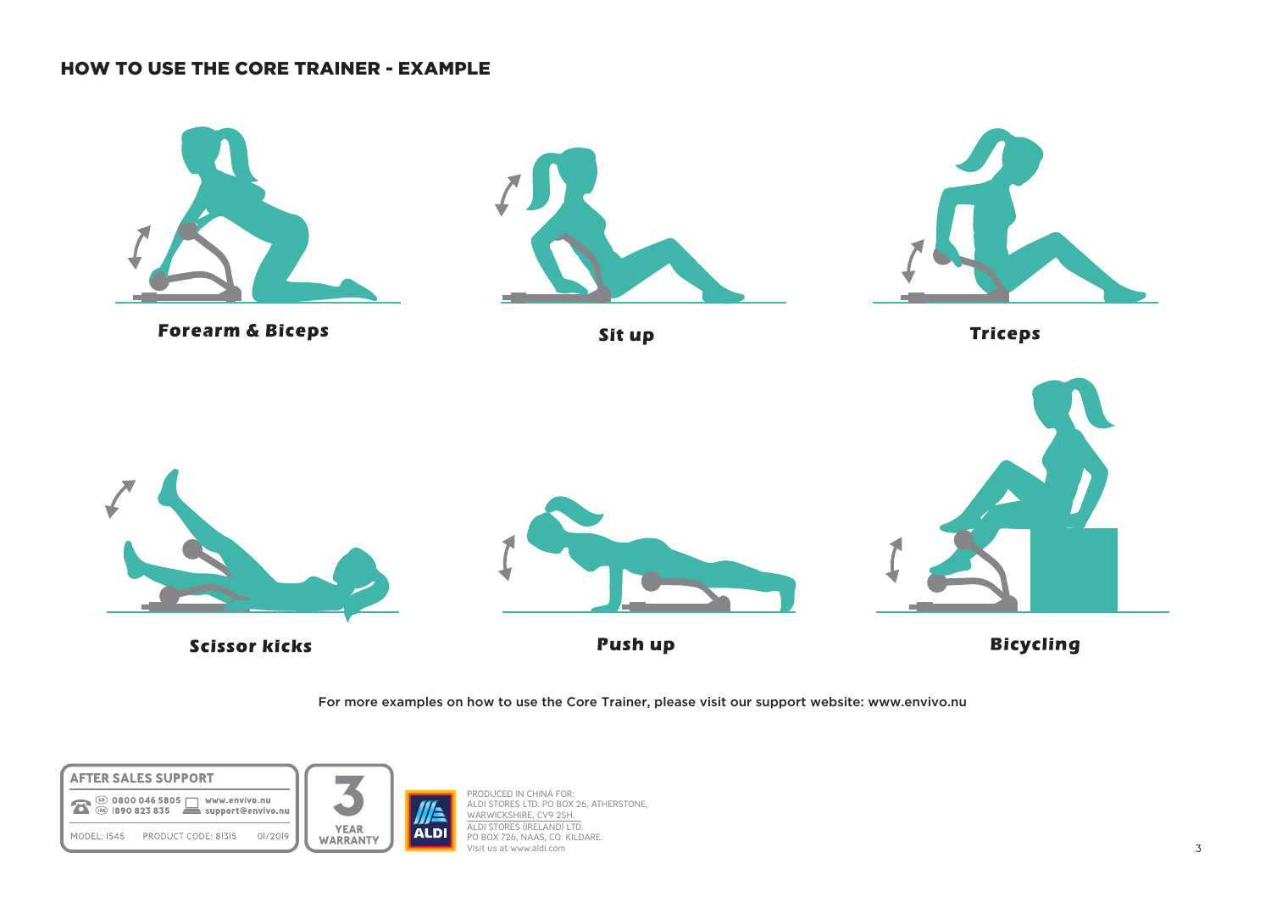### HOW TO USE THE CORE TRAINER - EXAMPLE



For more examples on how to use the Core Trainer, please visit our support website: www.envivo.nu





PRODUCED IN CHINA FOR: ALDI STORES LTD. PO BOX 26, ATHERSTONE, WARWICKSHIRE, CV9 2SH. ALDI STORES (IRELAND) LTD. PO BOX 726, NAAS, CO. KILDARE. Visit us at www.aldi.com 3